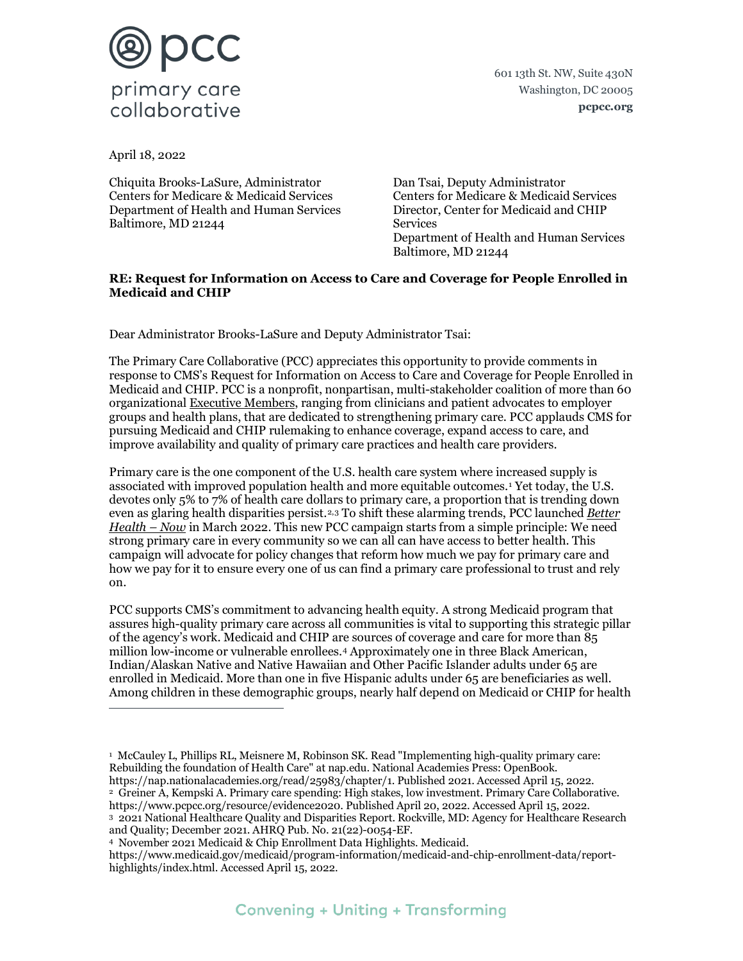

601 13th St. NW, Suite 430N Washington, DC 20005 **pcpcc.org**

April 18, 2022

Chiquita Brooks-LaSure, Administrator Centers for Medicare & Medicaid Services Department of Health and Human Services Baltimore, MD 21244

Dan Tsai, Deputy Administrator Centers for Medicare & Medicaid Services Director, Center for Medicaid and CHIP Services Department of Health and Human Services Baltimore, MD 21244

### **RE: Request for Information on Access to Care and Coverage for People Enrolled in Medicaid and CHIP**

Dear Administrator Brooks-LaSure and Deputy Administrator Tsai:

The Primary Care Collaborative (PCC) appreciates this opportunity to provide comments in response to CMS's Request for Information on Access to Care and Coverage for People Enrolled in Medicaid and CHIP. PCC is a nonprofit, nonpartisan, multi-stakeholder coalition of more than 60 organizational [Executive Members,](https://www.pcpcc.org/executive-membership) ranging from clinicians and patient advocates to employer groups and health plans, that are dedicated to strengthening primary care. PCC applauds CMS for pursuing Medicaid and CHIP rulemaking to enhance coverage, expand access to care, and improve availability and quality of primary care practices and health care providers.

Primary care is the one component of the U.S. health care system where increased supply is associated with improved population health and more equitable outcomes.[1](#page-0-0) Yet today, the U.S. devotes only 5% to 7% of health care dollars to primary care, a proportion that is trending down even as glaring health disparities persist.[2,](#page-0-1)[3](#page-0-2) To shift these alarming trends, PCC launched *[Better](https://www.pcpcc.org/betterhealthnow)  [Health – Now](https://www.pcpcc.org/betterhealthnow)* in March 2022. This new PCC campaign starts from a simple principle: We need strong primary care in every community so we can all can have access to better health. This campaign will advocate for policy changes that reform how much we pay for primary care and how we pay for it to ensure every one of us can find a primary care professional to trust and rely on.

PCC supports CMS's commitment to advancing health equity. A strong Medicaid program that assures high-quality primary care across all communities is vital to supporting this strategic pillar of the agency's work. Medicaid and CHIP are sources of coverage and care for more than 85 million low-income or vulnerable enrollees[.4](#page-0-3) Approximately one in three Black American, Indian/Alaskan Native and Native Hawaiian and Other Pacific Islander adults under 65 are enrolled in Medicaid. More than one in five Hispanic adults under 65 are beneficiaries as well. Among children in these demographic groups, nearly half depend on Medicaid or CHIP for health

<span id="page-0-1"></span>2 Greiner A, Kempski A. Primary care spending: High stakes, low investment. Primary Care Collaborative. https://www.pcpcc.org/resource/evidence2020. Published April 20, 2022. Accessed April 15, 2022. 3 2021 National Healthcare Quality and Disparities Report. Rockville, MD: Agency for Healthcare Research

<span id="page-0-2"></span>and Quality; December 2021. AHRQ Pub. No. 21(22)-0054-EF.

<span id="page-0-3"></span>https://www.medicaid.gov/medicaid/program-information/medicaid-and-chip-enrollment-data/reporthighlights/index.html. Accessed April 15, 2022.

<span id="page-0-0"></span><sup>1</sup> McCauley L, Phillips RL, Meisnere M, Robinson SK. Read "Implementing high-quality primary care: Rebuilding the foundation of Health Care" at nap.edu. National Academies Press: OpenBook. https://nap.nationalacademies.org/read/25983/chapter/1. Published 2021. Accessed April 15, 2022.

<sup>4</sup> November 2021 Medicaid & Chip Enrollment Data Highlights. Medicaid.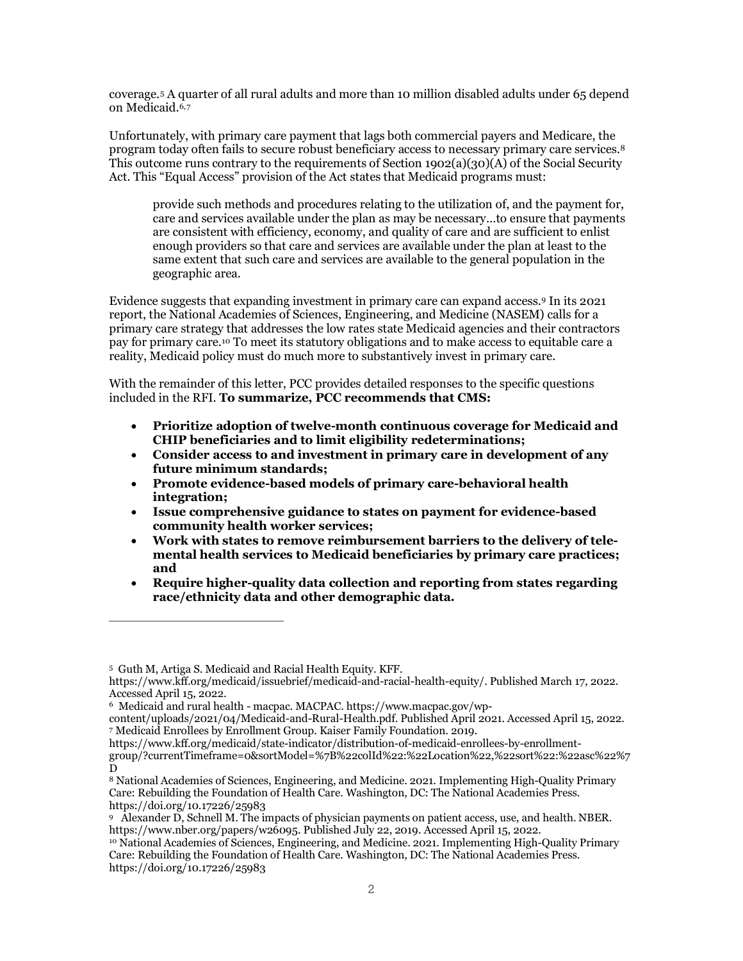coverage.[5](#page-1-0) A quarter of all rural adults and more than 10 million disabled adults under 65 depend on Medicaid.<sup>[6,](#page-1-1)[7](#page-1-2)</sup>

Unfortunately, with primary care payment that lags both commercial payers and Medicare, the program today often fails to secure robust beneficiary access to necessary primary care services[.8](#page-1-3) This outcome runs contrary to the requirements of Section  $1902(a)(30)(A)$  of the Social Security Act. This "Equal Access" provision of the Act states that Medicaid programs must:

provide such methods and procedures relating to the utilization of, and the payment for, care and services available under the plan as may be necessary…to ensure that payments are consistent with efficiency, economy, and quality of care and are sufficient to enlist enough providers so that care and services are available under the plan at least to the same extent that such care and services are available to the general population in the geographic area.

Evidence suggests that expanding investment in primary care can expand access[.9](#page-1-4) In its 2021 report, the National Academies of Sciences, Engineering, and Medicine (NASEM) calls for a primary care strategy that addresses the low rates state Medicaid agencies and their contractors pay for primary care.[10](#page-1-5) To meet its statutory obligations and to make access to equitable care a reality, Medicaid policy must do much more to substantively invest in primary care.

With the remainder of this letter, PCC provides detailed responses to the specific questions included in the RFI. **To summarize, PCC recommends that CMS:**

- **Prioritize adoption of twelve-month continuous coverage for Medicaid and CHIP beneficiaries and to limit eligibility redeterminations;**
- **Consider access to and investment in primary care in development of any future minimum standards;**
- **Promote evidence-based models of primary care-behavioral health integration;**
- **Issue comprehensive guidance to states on payment for evidence-based community health worker services;**
- **Work with states to remove reimbursement barriers to the delivery of telemental health services to Medicaid beneficiaries by primary care practices; and**
- **Require higher-quality data collection and reporting from states regarding race/ethnicity data and other demographic data.**

<span id="page-1-0"></span><sup>5</sup> Guth M, Artiga S. Medicaid and Racial Health Equity. KFF.

https://www.kff.org/medicaid/issuebrief/medicaid-and-racial-health-equity/. Published March 17, 2022. Accessed April 15, 2022.

<sup>6</sup> Medicaid and rural health - macpac. MACPAC. https://www.macpac.gov/wp-

<span id="page-1-2"></span><span id="page-1-1"></span>content/uploads/2021/04/Medicaid-and-Rural-Health.pdf. Published April 2021. Accessed April 15, 2022. <sup>7</sup> Medicaid Enrollees by Enrollment Group. Kaiser Family Foundation. 2019.

https://www.kff.org/medicaid/state-indicator/distribution-of-medicaid-enrollees-by-enrollmentgroup/?currentTimeframe=0&sortModel=%7B%22colId%22:%22Location%22,%22sort%22:%22asc%22%7 D

<span id="page-1-3"></span><sup>8</sup> National Academies of Sciences, Engineering, and Medicine. 2021. Implementing High-Quality Primary Care: Rebuilding the Foundation of Health Care. Washington, DC: The National Academies Press. https://doi.org/10.17226/25983

<span id="page-1-4"></span><sup>9</sup> Alexander D, Schnell M. The impacts of physician payments on patient access, use, and health. NBER. https://www.nber.org/papers/w26095. Published July 22, 2019. Accessed April 15, 2022.

<span id="page-1-5"></span><sup>10</sup> National Academies of Sciences, Engineering, and Medicine. 2021. Implementing High-Quality Primary Care: Rebuilding the Foundation of Health Care. Washington, DC: The National Academies Press. https://doi.org/10.17226/25983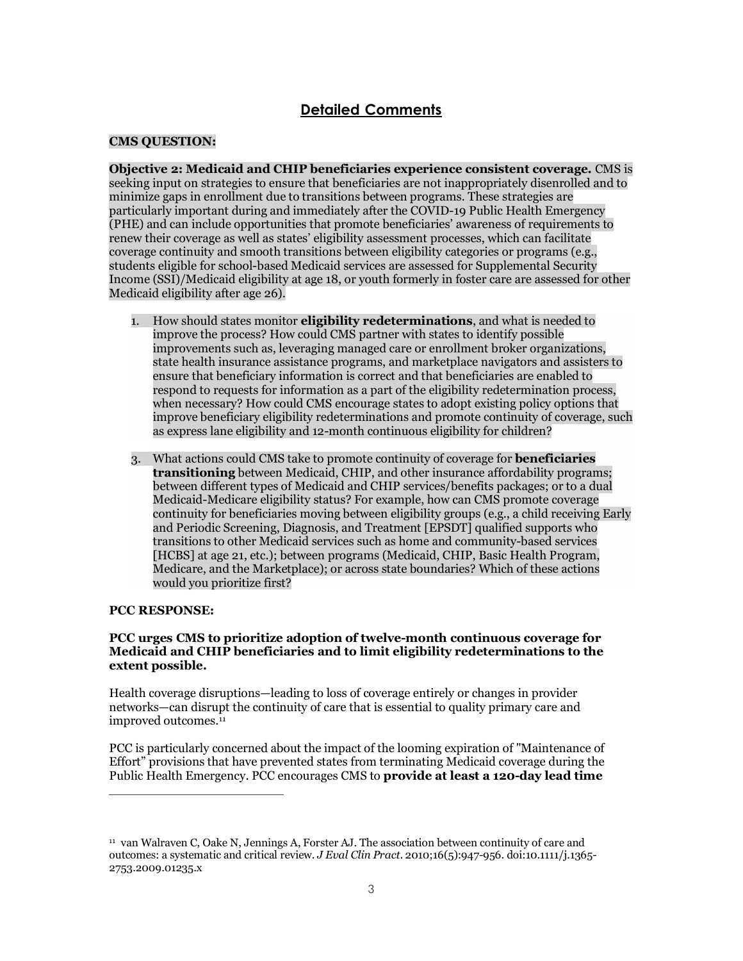# **Detailed Comments**

# **CMS QUESTION:**

**Objective 2: Medicaid and CHIP beneficiaries experience consistent coverage.** CMS is seeking input on strategies to ensure that beneficiaries are not inappropriately disenrolled and to minimize gaps in enrollment due to transitions between programs. These strategies are particularly important during and immediately after the COVID-19 Public Health Emergency (PHE) and can include opportunities that promote beneficiaries' awareness of requirements to renew their coverage as well as states' eligibility assessment processes, which can facilitate coverage continuity and smooth transitions between eligibility categories or programs (e.g., students eligible for school-based Medicaid services are assessed for Supplemental Security Income (SSI)/Medicaid eligibility at age 18, or youth formerly in foster care are assessed for other Medicaid eligibility after age 26).

- 1. How should states monitor **eligibility redeterminations**, and what is needed to improve the process? How could CMS partner with states to identify possible improvements such as, leveraging managed care or enrollment broker organizations, state health insurance assistance programs, and marketplace navigators and assisters to ensure that beneficiary information is correct and that beneficiaries are enabled to respond to requests for information as a part of the eligibility redetermination process, when necessary? How could CMS encourage states to adopt existing policy options that improve beneficiary eligibility redeterminations and promote continuity of coverage, such as express lane eligibility and 12-month continuous eligibility for children?
- 3. What actions could CMS take to promote continuity of coverage for **beneficiaries transitioning** between Medicaid, CHIP, and other insurance affordability programs; between different types of Medicaid and CHIP services/benefits packages; or to a dual Medicaid-Medicare eligibility status? For example, how can CMS promote coverage continuity for beneficiaries moving between eligibility groups (e.g., a child receiving Early and Periodic Screening, Diagnosis, and Treatment [EPSDT] qualified supports who transitions to other Medicaid services such as home and community-based services [HCBS] at age 21, etc.); between programs (Medicaid, CHIP, Basic Health Program, Medicare, and the Marketplace); or across state boundaries? Which of these actions would you prioritize first?

# **PCC RESPONSE:**

### **PCC urges CMS to prioritize adoption of twelve-month continuous coverage for Medicaid and CHIP beneficiaries and to limit eligibility redeterminations to the extent possible.**

Health coverage disruptions—leading to loss of coverage entirely or changes in provider networks—can disrupt the continuity of care that is essential to quality primary care and improved outcomes.<sup>11</sup>

PCC is particularly concerned about the impact of the looming expiration of "Maintenance of Effort" provisions that have prevented states from terminating Medicaid coverage during the Public Health Emergency. PCC encourages CMS to **provide at least a 120-day lead time** 

<span id="page-2-0"></span><sup>11</sup> van Walraven C, Oake N, Jennings A, Forster AJ. The association between continuity of care and outcomes: a systematic and critical review. *J Eval Clin Pract*. 2010;16(5):947-956. doi:10.1111/j.1365- 2753.2009.01235.x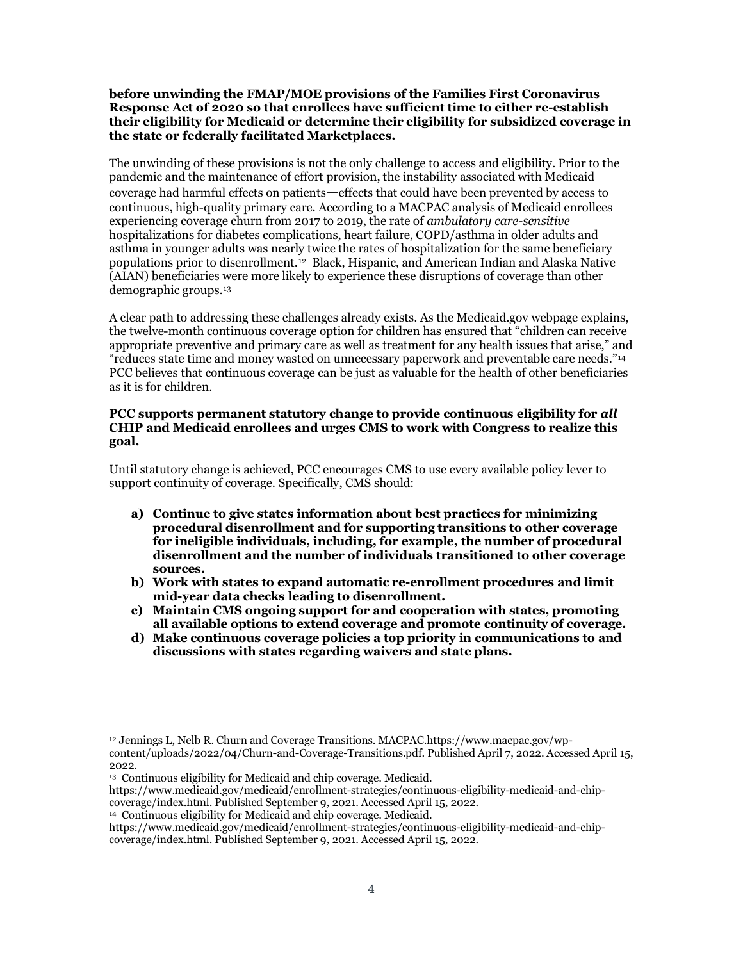### **before unwinding the FMAP/MOE provisions of the Families First Coronavirus Response Act of 2020 so that enrollees have sufficient time to either re-establish their eligibility for Medicaid or determine their eligibility for subsidized coverage in the state or federally facilitated Marketplaces.**

The unwinding of these provisions is not the only challenge to access and eligibility. Prior to the pandemic and the maintenance of effort provision, the instability associated with Medicaid coverage had harmful effects on patients—effects that could have been prevented by access to continuous, high-quality primary care. According to a MACPAC analysis of Medicaid enrollees experiencing coverage churn from 2017 to 2019, the rate of *ambulatory care-sensitive* hospitalizations for diabetes complications, heart failure, COPD/asthma in older adults and asthma in younger adults was nearly twice the rates of hospitalization for the same beneficiary populations prior to disenrollment.[12](#page-3-0) Black, Hispanic, and American Indian and Alaska Native (AIAN) beneficiaries were more likely to experience these disruptions of coverage than other demographic groups.[13](#page-3-1)

A clear path to addressing these challenges already exists. As the Medicaid.gov webpage explains, the twelve-month continuous coverage option for children has ensured that "children can receive appropriate preventive and primary care as well as treatment for any health issues that arise," and "reduces state time and money wasted on unnecessary paperwork and preventable care needs."[14](#page-3-2) PCC believes that continuous coverage can be just as valuable for the health of other beneficiaries as it is for children.

### **PCC supports permanent statutory change to provide continuous eligibility for** *all* **CHIP and Medicaid enrollees and urges CMS to work with Congress to realize this goal.**

Until statutory change is achieved, PCC encourages CMS to use every available policy lever to support continuity of coverage. Specifically, CMS should:

- **a) Continue to give states information about best practices for minimizing procedural disenrollment and for supporting transitions to other coverage for ineligible individuals, including, for example, the number of procedural disenrollment and the number of individuals transitioned to other coverage sources.**
- **b) Work with states to expand automatic re-enrollment procedures and limit mid-year data checks leading to disenrollment.**
- **c) Maintain CMS ongoing support for and cooperation with states, promoting all available options to extend coverage and promote continuity of coverage.**
- **d) Make continuous coverage policies a top priority in communications to and discussions with states regarding waivers and state plans.**

<span id="page-3-2"></span>https://www.medicaid.gov/medicaid/enrollment-strategies/continuous-eligibility-medicaid-and-chipcoverage/index.html. Published September 9, 2021. Accessed April 15, 2022.

<span id="page-3-0"></span><sup>12</sup> Jennings L, Nelb R. Churn and Coverage Transitions. MACPAC.https://www.macpac.gov/wpcontent/uploads/2022/04/Churn-and-Coverage-Transitions.pdf. Published April 7, 2022. Accessed April 15, 2022.

<sup>13</sup> Continuous eligibility for Medicaid and chip coverage. Medicaid.

<span id="page-3-1"></span>https://www.medicaid.gov/medicaid/enrollment-strategies/continuous-eligibility-medicaid-and-chipcoverage/index.html. Published September 9, 2021. Accessed April 15, 2022.

<sup>14</sup> Continuous eligibility for Medicaid and chip coverage. Medicaid.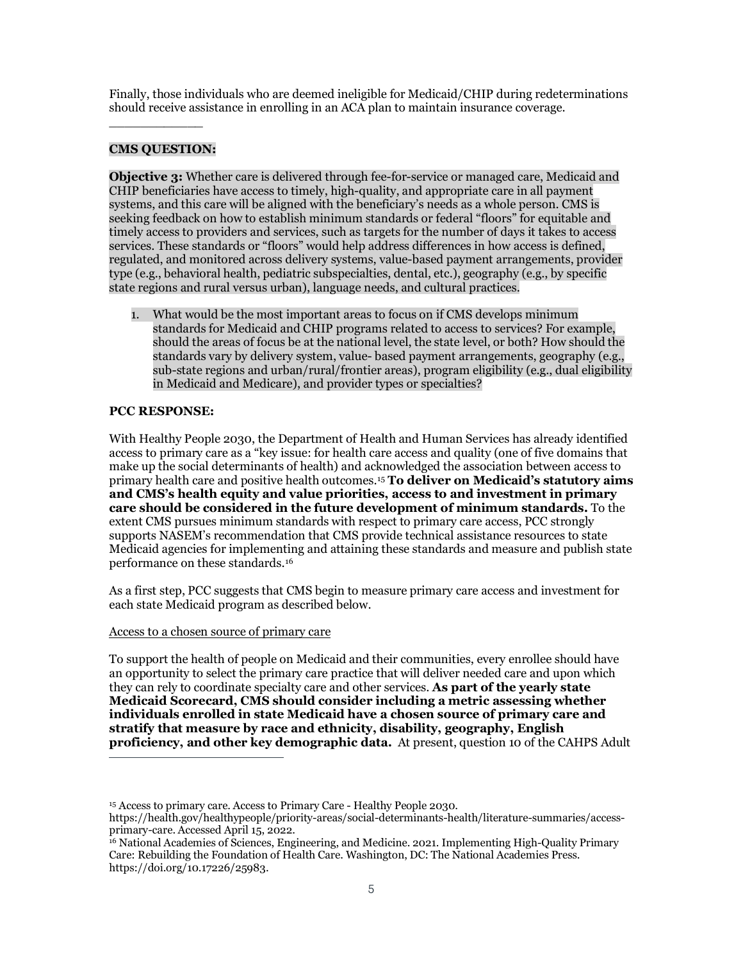Finally, those individuals who are deemed ineligible for Medicaid/CHIP during redeterminations should receive assistance in enrolling in an ACA plan to maintain insurance coverage.

## **CMS QUESTION:**

\_\_\_\_\_\_\_\_\_\_\_\_

**Objective 3:** Whether care is delivered through fee-for-service or managed care, Medicaid and CHIP beneficiaries have access to timely, high-quality, and appropriate care in all payment systems, and this care will be aligned with the beneficiary's needs as a whole person. CMS is seeking feedback on how to establish minimum standards or federal "floors" for equitable and timely access to providers and services, such as targets for the number of days it takes to access services. These standards or "floors" would help address differences in how access is defined, regulated, and monitored across delivery systems, value-based payment arrangements, provider type (e.g., behavioral health, pediatric subspecialties, dental, etc.), geography (e.g., by specific state regions and rural versus urban), language needs, and cultural practices.

1. What would be the most important areas to focus on if CMS develops minimum standards for Medicaid and CHIP programs related to access to services? For example, should the areas of focus be at the national level, the state level, or both? How should the standards vary by delivery system, value- based payment arrangements, geography (e.g., sub-state regions and urban/rural/frontier areas), program eligibility (e.g., dual eligibility in Medicaid and Medicare), and provider types or specialties?

### **PCC RESPONSE:**

With Healthy People 2030, the Department of Health and Human Services has already identified access to primary care as a "key issue: for health care access and quality (one of five domains that make up the social determinants of health) and acknowledged the association between access to primary health care and positive health outcomes.[15](#page-4-0) **To deliver on Medicaid's statutory aims and CMS's health equity and value priorities, access to and investment in primary care should be considered in the future development of minimum standards.** To the extent CMS pursues minimum standards with respect to primary care access, PCC strongly supports NASEM's recommendation that CMS provide technical assistance resources to state Medicaid agencies for implementing and attaining these standards and measure and publish state performance on these standards.[16](#page-4-1)

As a first step, PCC suggests that CMS begin to measure primary care access and investment for each state Medicaid program as described below.

#### Access to a chosen source of primary care

To support the health of people on Medicaid and their communities, every enrollee should have an opportunity to select the primary care practice that will deliver needed care and upon which they can rely to coordinate specialty care and other services. **As part of the yearly state Medicaid Scorecard, CMS should consider including a metric assessing whether individuals enrolled in state Medicaid have a chosen source of primary care and stratify that measure by race and ethnicity, disability, geography, English proficiency, and other key demographic data.** At present, question 10 of the CAHPS Adult

<sup>&</sup>lt;sup>15</sup> Access to primary care. Access to Primary Care - Healthy People 2030.

<span id="page-4-0"></span>[https://health.gov/healthypeople/priority-areas/social-determinants-health/literature-summaries/access](https://health.gov/healthypeople/priority-areas/social-determinants-health/literature-summaries/access-primary-care)[primary-care.](https://health.gov/healthypeople/priority-areas/social-determinants-health/literature-summaries/access-primary-care) Accessed April 15, 2022.

<span id="page-4-1"></span><sup>16</sup> National Academies of Sciences, Engineering, and Medicine. 2021. Implementing High-Quality Primary Care: Rebuilding the Foundation of Health Care. Washington, DC: The National Academies Press. https://doi.org/10.17226/25983.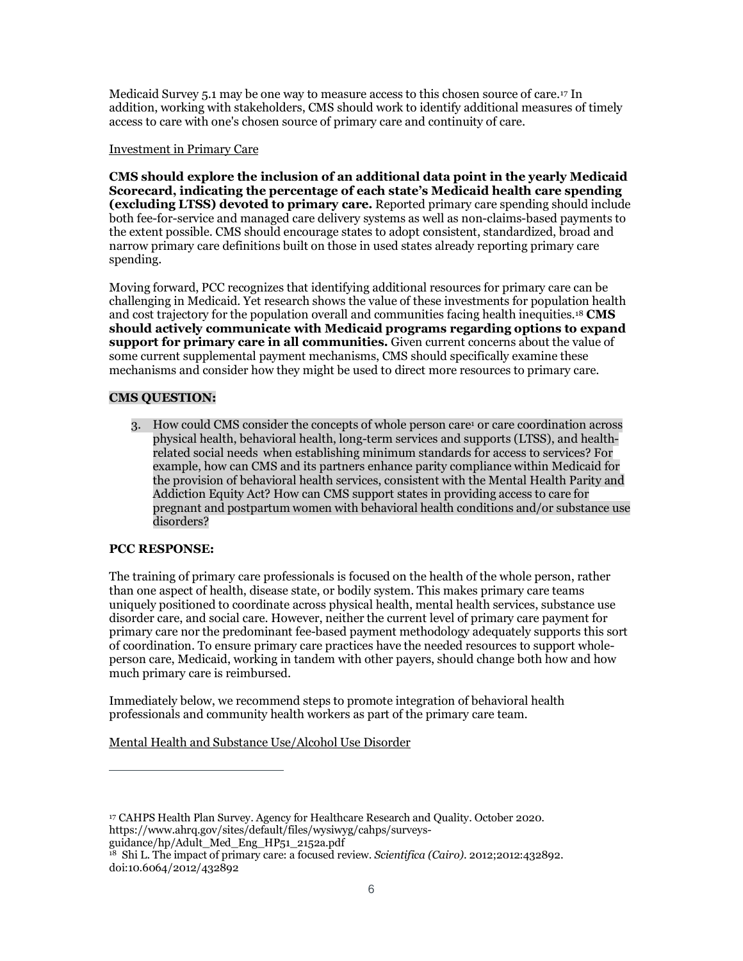Medicaid Survey 5.1 may be one way to measure access to this chosen source of care.[17](#page-5-0) In addition, working with stakeholders, CMS should work to identify additional measures of timely access to care with one's chosen source of primary care and continuity of care.

### Investment in Primary Care

**CMS should explore the inclusion of an additional data point in the yearly Medicaid Scorecard, indicating the percentage of each state's Medicaid health care spending (excluding LTSS) devoted to primary care.** Reported primary care spending should include both fee-for-service and managed care delivery systems as well as non-claims-based payments to the extent possible. CMS should encourage states to adopt consistent, standardized, broad and narrow primary care definitions built on those in used states already reporting primary care spending.

Moving forward, PCC recognizes that identifying additional resources for primary care can be challenging in Medicaid. Yet research shows the value of these investments for population health and cost trajectory for the population overall and communities facing health inequities[.18](#page-5-1) **CMS should actively communicate with Medicaid programs regarding options to expand support for primary care in all communities.** Given current concerns about the value of some current supplemental payment mechanisms, CMS should specifically examine these mechanisms and consider how they might be used to direct more resources to primary care.

# **CMS QUESTION:**

3. How could CMS consider the concepts of whole person care<sup>1</sup> or care coordination across physical health, behavioral health, long-term services and supports (LTSS), and healthrelated social needs when establishing minimum standards for access to services? For example, how can CMS and its partners enhance parity compliance within Medicaid for the provision of behavioral health services, consistent with the Mental Health Parity and Addiction Equity Act? How can CMS support states in providing access to care for pregnant and postpartum women with behavioral health conditions and/or substance use disorders?

# **PCC RESPONSE:**

The training of primary care professionals is focused on the health of the whole person, rather than one aspect of health, disease state, or bodily system. This makes primary care teams uniquely positioned to coordinate across physical health, mental health services, substance use disorder care, and social care. However, neither the current level of primary care payment for primary care nor the predominant fee-based payment methodology adequately supports this sort of coordination. To ensure primary care practices have the needed resources to support wholeperson care, Medicaid, working in tandem with other payers, should change both how and how much primary care is reimbursed.

Immediately below, we recommend steps to promote integration of behavioral health professionals and community health workers as part of the primary care team.

Mental Health and Substance Use/Alcohol Use Disorder

guidance/hp/Adult\_Med\_Eng\_HP51\_2152a.pdf

<span id="page-5-0"></span><sup>17</sup> CAHPS Health Plan Survey. Agency for Healthcare Research and Quality. October 2020. https://www.ahrq.gov/sites/default/files/wysiwyg/cahps/surveys-

<span id="page-5-1"></span><sup>18</sup> Shi L. The impact of primary care: a focused review. *Scientifica (Cairo)*. 2012;2012:432892. doi:10.6064/2012/432892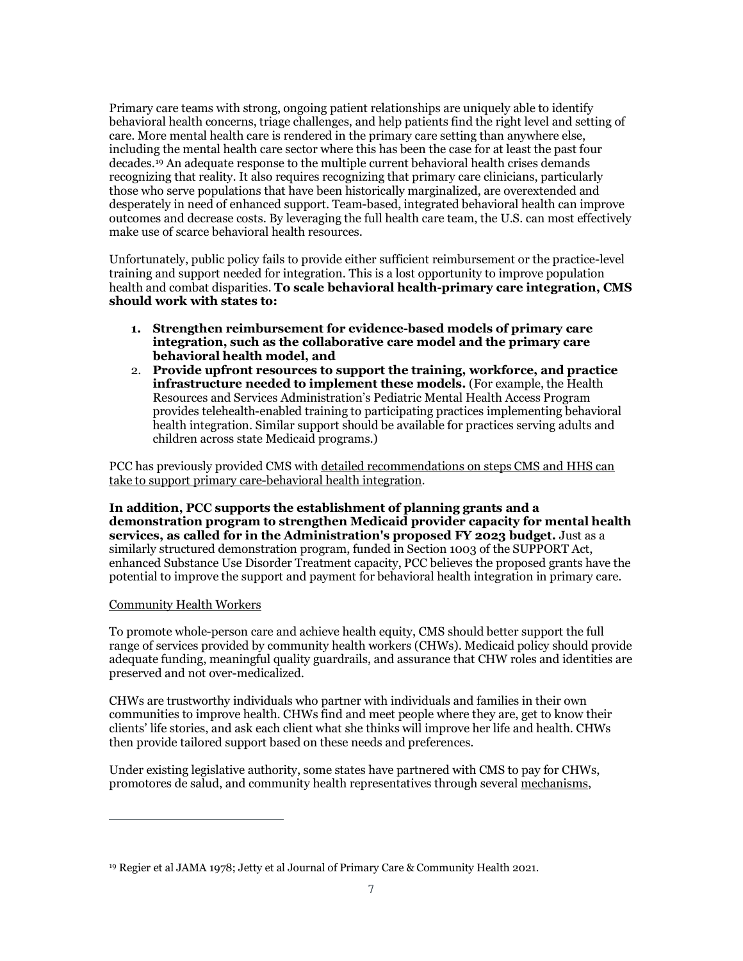Primary care teams with strong, ongoing patient relationships are uniquely able to identify behavioral health concerns, triage challenges, and help patients find the right level and setting of care. More mental health care is rendered in the primary care setting than anywhere else, including the mental health care sector where this has been the case for at least the past four decades.[19](#page-6-0) An adequate response to the multiple current behavioral health crises demands recognizing that reality. It also requires recognizing that primary care clinicians, particularly those who serve populations that have been historically marginalized, are overextended and desperately in need of enhanced support. Team-based, integrated behavioral health can improve outcomes and decrease costs. By leveraging the full health care team, the U.S. can most effectively make use of scarce behavioral health resources.

Unfortunately, public policy fails to provide either sufficient reimbursement or the practice-level training and support needed for integration. This is a lost opportunity to improve population health and combat disparities. **To scale behavioral health-primary care integration, CMS should work with states to:** 

- **1. Strengthen reimbursement for evidence-based models of primary care integration, such as the collaborative care model and the primary care behavioral health model, and**
- 2. **Provide upfront resources to support the training, workforce, and practice infrastructure needed to implement these models.** (For example, the Health Resources and Services Administration's Pediatric Mental Health Access Program provides telehealth-enabled training to participating practices implementing behavioral health integration. Similar support should be available for practices serving adults and children across state Medicaid programs.)

PCC has previously provided CMS with detailed recommendations on steps CMS and HHS can [take to support primary care-behavioral health integration.](https://www.pcpcc.org/sites/default/files/news_files/PCC%20letter_Behav%20Health%20Integration%20FINAL%20w%20sig_0.pdf)

**In addition, PCC supports the establishment of planning grants and a demonstration program to strengthen Medicaid provider capacity for mental health services, as called for in the Administration's proposed FY 2023 budget.** Just as a similarly structured demonstration program, funded in Section 1003 of the SUPPORT Act, enhanced Substance Use Disorder Treatment capacity, PCC believes the proposed grants have the potential to improve the support and payment for behavioral health integration in primary care.

### Community Health Workers

To promote whole-person care and achieve health equity, CMS should better support the full range of services provided by community health workers (CHWs). Medicaid policy should provide adequate funding, meaningful quality guardrails, and assurance that CHW roles and identities are preserved and not over-medicalized.

CHWs are trustworthy individuals who partner with individuals and families in their own communities to improve health. CHWs find and meet people where they are, get to know their clients' life stories, and ask each client what she thinks will improve her life and health. CHWs then provide tailored support based on these needs and preferences.

Under existing legislative authority, some states have partnered with CMS to pay for CHWs, promotores de salud, and community health representatives through several [mechanisms,](https://familiesusa.org/wp-content/uploads/2019/09/HEV_CHW-Funding-Pathways_Table-1.pdf)

<span id="page-6-0"></span><sup>19</sup> Regier et al JAMA 1978; Jetty et al Journal of Primary Care & Community Health 2021.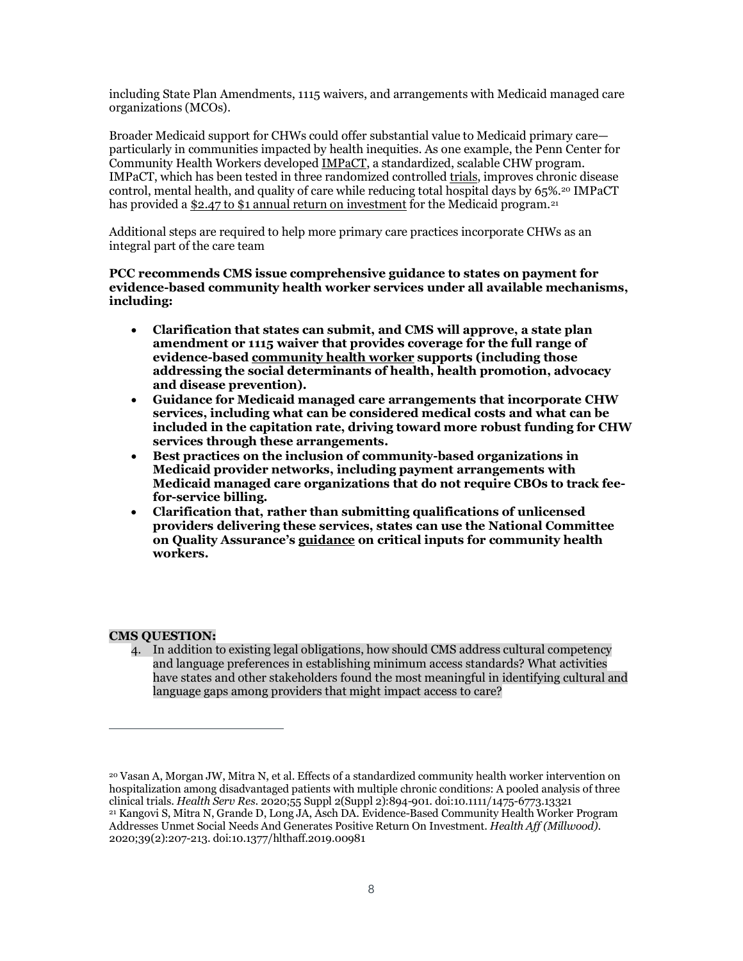including State Plan Amendments, 1115 waivers, and arrangements with Medicaid managed care organizations (MCOs).

Broader Medicaid support for CHWs could offer substantial value to Medicaid primary care particularly in communities impacted by health inequities. As one example, the Penn Center for Community Health Workers developed [IMPaCT,](https://chw.upenn.edu/about/) a standardized, scalable CHW program. IMPaCT, which has been tested in three randomized controlle[d trials,](https://doi.org/10.1111/1475-6773.13321) improves chronic disease control, mental health, and quality of care while reducing total hospital days by 65%.[20](#page-7-0) IMPaCT has provided a \$2.47 [to \\$1 annual return on investment](https://www.healthaffairs.org/doi/full/10.1377/hlthaff.2019.00981) for the Medicaid program.<sup>[21](#page-7-1)</sup>

Additional steps are required to help more primary care practices incorporate CHWs as an integral part of the care team

**PCC recommends CMS issue comprehensive guidance to states on payment for evidence-based community health worker services under all available mechanisms, including:** 

- **Clarification that states can submit, and CMS will approve, a state plan amendment or 1115 waiver that provides coverage for the full range of evidence-base[d community health worker](https://www.c3project.org/roles-competencies) supports (including those addressing the social determinants of health, health promotion, advocacy and disease prevention).**
- **Guidance for Medicaid managed care arrangements that incorporate CHW services, including what can be considered medical costs and what can be included in the capitation rate, driving toward more robust funding for CHW services through these arrangements.**
- **Best practices on the inclusion of community-based organizations in Medicaid provider networks, including payment arrangements with Medicaid managed care organizations that do not require CBOs to track feefor-service billing.**
- **Clarification that, rather than submitting qualifications of unlicensed providers delivering these services, states can use the National Committee on Quality Assurance's [guidance](https://www.ncqa.org/wp-content/uploads/2021/11/Critical-Inputs-for-Successful-CHW-Programs-White-Paper-November2021.pdf) on critical inputs for community health workers.**

### **CMS QUESTION:**

4. In addition to existing legal obligations, how should CMS address cultural competency and language preferences in establishing minimum access standards? What activities have states and other stakeholders found the most meaningful in identifying cultural and language gaps among providers that might impact access to care?

<span id="page-7-1"></span><span id="page-7-0"></span><sup>20</sup> Vasan A, Morgan JW, Mitra N, et al. Effects of a standardized community health worker intervention on hospitalization among disadvantaged patients with multiple chronic conditions: A pooled analysis of three clinical trials. *Health Serv Res*. 2020;55 Suppl 2(Suppl 2):894-901. doi:10.1111/1475-6773.13321 <sup>21</sup> Kangovi S, Mitra N, Grande D, Long JA, Asch DA. Evidence-Based Community Health Worker Program Addresses Unmet Social Needs And Generates Positive Return On Investment. *Health Aff (Millwood)*. 2020;39(2):207-213. doi:10.1377/hlthaff.2019.00981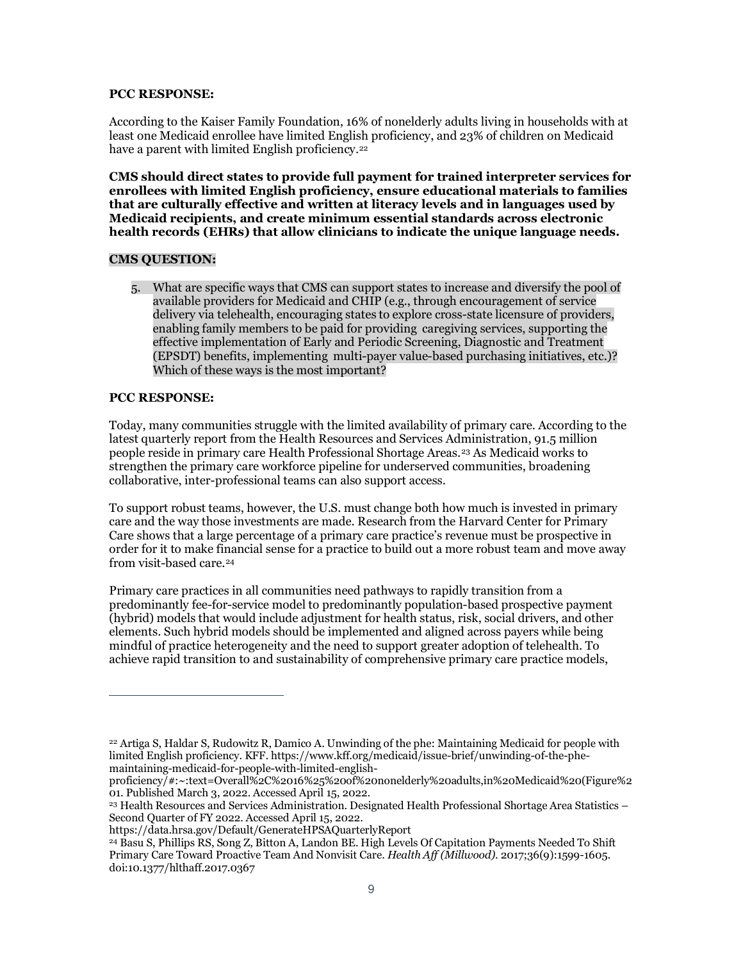#### **PCC RESPONSE:**

According to the Kaiser Family Foundation, 16% of nonelderly adults living in households with at least one Medicaid enrollee have limited English proficiency, and 23% of children on Medicaid have a parent with limited English proficiency.<sup>[22](#page-8-0)</sup>

**CMS should direct states to provide full payment for trained interpreter services for enrollees with limited English proficiency, ensure educational materials to families that are culturally effective and written at literacy levels and in languages used by Medicaid recipients, and create minimum essential standards across electronic health records (EHRs) that allow clinicians to indicate the unique language needs.** 

### **CMS QUESTION:**

5. What are specific ways that CMS can support states to increase and diversify the pool of available providers for Medicaid and CHIP (e.g., through encouragement of service delivery via telehealth, encouraging states to explore cross-state licensure of providers, enabling family members to be paid for providing caregiving services, supporting the effective implementation of Early and Periodic Screening, Diagnostic and Treatment (EPSDT) benefits, implementing multi-payer value-based purchasing initiatives, etc.)? Which of these ways is the most important?

#### **PCC RESPONSE:**

Today, many communities struggle with the limited availability of primary care. According to the latest quarterly report from the Health Resources and Services Administration, 91.5 million people reside in primary care Health Professional Shortage Areas.[23](#page-8-1) As Medicaid works to strengthen the primary care workforce pipeline for underserved communities, broadening collaborative, inter-professional teams can also support access.

To support robust teams, however, the U.S. must change both how much is invested in primary care and the way those investments are made. Research from the Harvard Center for Primary Care shows that a large percentage of a primary care practice's revenue must be prospective in order for it to make financial sense for a practice to build out a more robust team and move away from visit-based care.<sup>[24](#page-8-2)</sup>

Primary care practices in all communities need pathways to rapidly transition from a predominantly fee-for-service model to predominantly population-based prospective payment (hybrid) models that would include adjustment for health status, risk, social drivers, and other elements. Such hybrid models should be implemented and aligned across payers while being mindful of practice heterogeneity and the need to support greater adoption of telehealth. To achieve rapid transition to and sustainability of comprehensive primary care practice models,

<span id="page-8-0"></span><sup>22</sup> Artiga S, Haldar S, Rudowitz R, Damico A. Unwinding of the phe: Maintaining Medicaid for people with limited English proficiency. KFF[. https://www.kff.org/medicaid/issue-brief/unwinding-of-the-phe](https://www.kff.org/medicaid/issue-brief/unwinding-of-the-phe-maintaining-medicaid-for-people-with-limited-english-proficiency/#:%7E:text=Overall%2C%2016%25%20of%20nonelderly%20adults,in%20Medicaid%20(Figure%201)[maintaining-medicaid-for-people-with-limited-english-](https://www.kff.org/medicaid/issue-brief/unwinding-of-the-phe-maintaining-medicaid-for-people-with-limited-english-proficiency/#:%7E:text=Overall%2C%2016%25%20of%20nonelderly%20adults,in%20Medicaid%20(Figure%201)

[proficiency/#:~:text=Overall%2C%2016%25%20of%20nonelderly%20adults,in%20Medicaid%20\(Figure%2](https://www.kff.org/medicaid/issue-brief/unwinding-of-the-phe-maintaining-medicaid-for-people-with-limited-english-proficiency/#:%7E:text=Overall%2C%2016%25%20of%20nonelderly%20adults,in%20Medicaid%20(Figure%201) [01.](https://www.kff.org/medicaid/issue-brief/unwinding-of-the-phe-maintaining-medicaid-for-people-with-limited-english-proficiency/#:%7E:text=Overall%2C%2016%25%20of%20nonelderly%20adults,in%20Medicaid%20(Figure%201) Published March 3, 2022. Accessed April 15, 2022.

<span id="page-8-1"></span><sup>23</sup> Health Resources and Services Administration. Designated Health Professional Shortage Area Statistics – Second Quarter of FY 2022. Accessed April 15, 2022.

https://data.hrsa.gov/Default/GenerateHPSAQuarterlyReport

<span id="page-8-2"></span><sup>24</sup> Basu S, Phillips RS, Song Z, Bitton A, Landon BE. High Levels Of Capitation Payments Needed To Shift Primary Care Toward Proactive Team And Nonvisit Care. *Health Aff (Millwood)*. 2017;36(9):1599-1605. doi:10.1377/hlthaff.2017.0367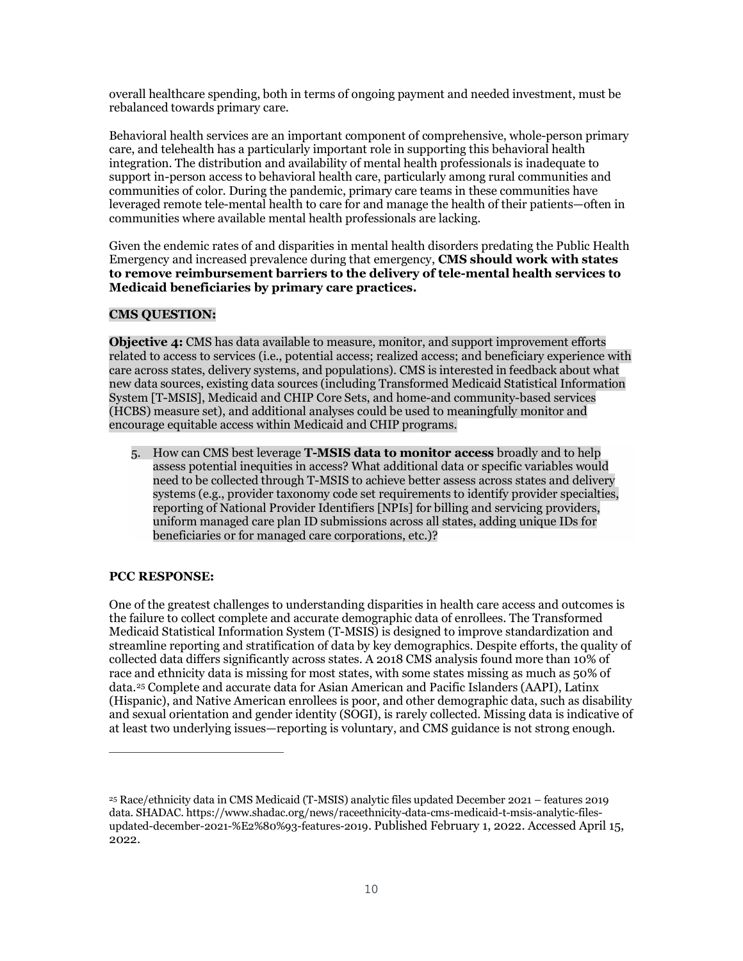overall healthcare spending, both in terms of ongoing payment and needed investment, must be rebalanced towards primary care.

Behavioral health services are an important component of comprehensive, whole-person primary care, and telehealth has a particularly important role in supporting this behavioral health integration. The distribution and availability of mental health professionals is inadequate to support in-person access to behavioral health care, particularly among rural communities and communities of color. During the pandemic, primary care teams in these communities have leveraged remote tele-mental health to care for and manage the health of their patients—often in communities where available mental health professionals are lacking.

Given the endemic rates of and disparities in mental health disorders predating the Public Health Emergency and increased prevalence during that emergency, **CMS should work with states to remove reimbursement barriers to the delivery of tele-mental health services to Medicaid beneficiaries by primary care practices.** 

### **CMS QUESTION:**

**Objective 4:** CMS has data available to measure, monitor, and support improvement efforts related to access to services (i.e., potential access; realized access; and beneficiary experience with care across states, delivery systems, and populations). CMS is interested in feedback about what new data sources, existing data sources (including Transformed Medicaid Statistical Information System [T-MSIS], Medicaid and CHIP Core Sets, and home-and community-based services (HCBS) measure set), and additional analyses could be used to meaningfully monitor and encourage equitable access within Medicaid and CHIP programs.

5. How can CMS best leverage **T-MSIS data to monitor access** broadly and to help assess potential inequities in access? What additional data or specific variables would need to be collected through T-MSIS to achieve better assess across states and delivery systems (e.g., provider taxonomy code set requirements to identify provider specialties, reporting of National Provider Identifiers [NPIs] for billing and servicing providers, uniform managed care plan ID submissions across all states, adding unique IDs for beneficiaries or for managed care corporations, etc.)?

### **PCC RESPONSE:**

One of the greatest challenges to understanding disparities in health care access and outcomes is the failure to collect complete and accurate demographic data of enrollees. The Transformed Medicaid Statistical Information System (T-MSIS) is designed to improve standardization and streamline reporting and stratification of data by key demographics. Despite efforts, the quality of collected data differs significantly across states. A 2018 CMS analysis found more than 10% of race and ethnicity data is missing for most states, with some states missing as much as 50% of data.[25](#page-9-0) Complete and accurate data for Asian American and Pacific Islanders (AAPI), Latinx (Hispanic), and Native American enrollees is poor, and other demographic data, such as disability and sexual orientation and gender identity (SOGI), is rarely collected. Missing data is indicative of at least two underlying issues—reporting is voluntary, and CMS guidance is not strong enough.

<span id="page-9-0"></span><sup>25</sup> Race/ethnicity data in CMS Medicaid (T-MSIS) analytic files updated December 2021 – features 2019 data. SHADAC. https://www.shadac.org/news/raceethnicity-data-cms-medicaid-t-msis-analytic-filesupdated-december-2021-%E2%80%93-features-2019. Published February 1, 2022. Accessed April 15, 2022.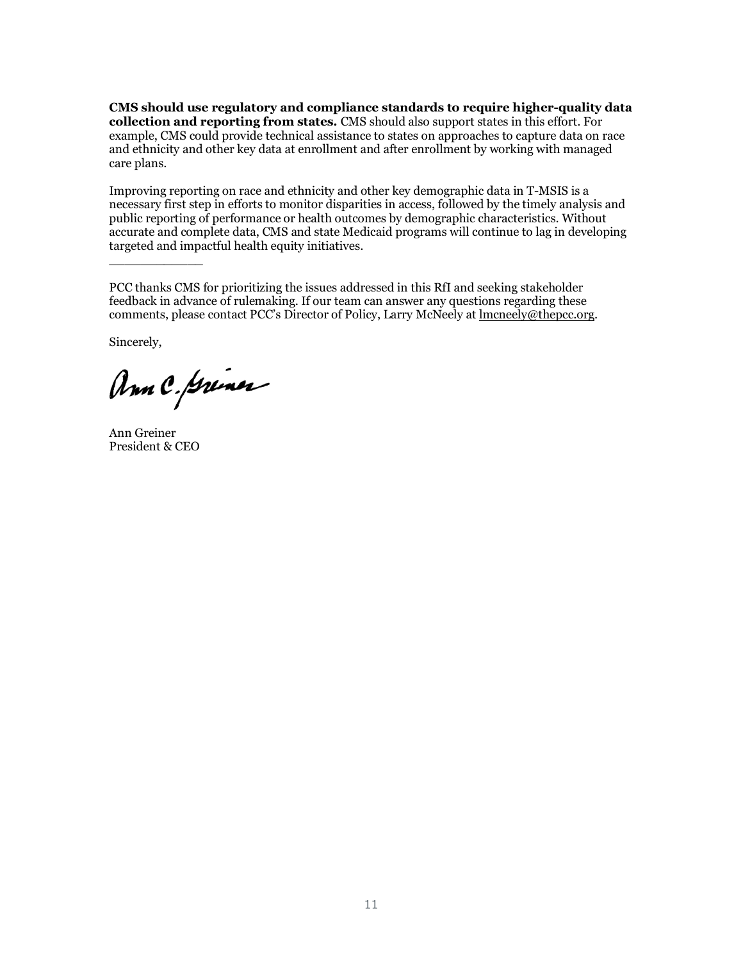**CMS should use regulatory and compliance standards to require higher-quality data collection and reporting from states.** CMS should also support states in this effort. For example, CMS could provide technical assistance to states on approaches to capture data on race and ethnicity and other key data at enrollment and after enrollment by working with managed care plans.

Improving reporting on race and ethnicity and other key demographic data in T-MSIS is a necessary first step in efforts to monitor disparities in access, followed by the timely analysis and public reporting of performance or health outcomes by demographic characteristics. Without accurate and complete data, CMS and state Medicaid programs will continue to lag in developing targeted and impactful health equity initiatives.

PCC thanks CMS for prioritizing the issues addressed in this RfI and seeking stakeholder feedback in advance of rulemaking. If our team can answer any questions regarding these comments, please contact PCC's Director of Policy, Larry McNeely at [lmcneely@thepcc.org.](mailto:lmcneely@thepcc.org)

Sincerely,

\_\_\_\_\_\_\_\_\_\_\_\_

Ann C. Griner

Ann Greiner President & CEO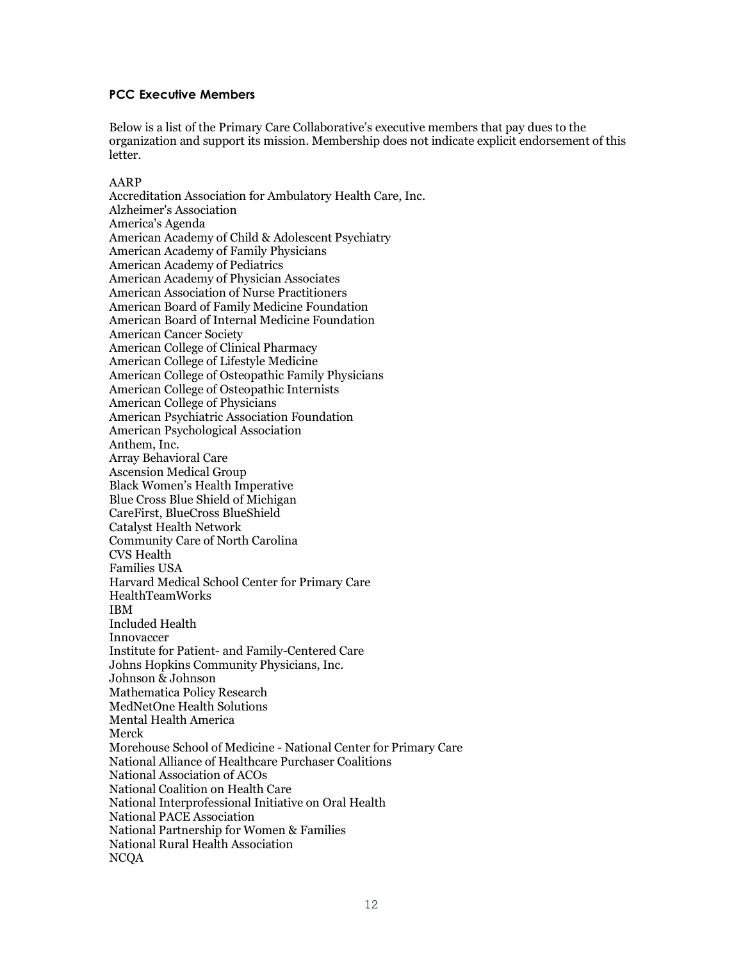### **PCC Executive Members**

Below is a list of the Primary Care Collaborative's executive members that pay dues to the organization and support its mission. Membership does not indicate explicit endorsement of this letter.

#### AARP

Accreditation Association for Ambulatory Health Care, Inc. Alzheimer's Association America's Agenda American Academy of Child & Adolescent Psychiatry American Academy of Family Physicians American Academy of Pediatrics American Academy of Physician Associates American Association of Nurse Practitioners American Board of Family Medicine Foundation American Board of Internal Medicine Foundation American Cancer Society American College of Clinical Pharmacy American College of Lifestyle Medicine American College of Osteopathic Family Physicians American College of Osteopathic Internists American College of Physicians American Psychiatric Association Foundation American Psychological Association Anthem, Inc. Array Behavioral Care Ascension Medical Group Black Women's Health Imperative Blue Cross Blue Shield of Michigan CareFirst, BlueCross BlueShield Catalyst Health Network Community Care of North Carolina CVS Health Families USA Harvard Medical School Center for Primary Care HealthTeamWorks IBM Included Health Innovaccer Institute for Patient- and Family-Centered Care Johns Hopkins Community Physicians, Inc. Johnson & Johnson Mathematica Policy Research MedNetOne Health Solutions Mental Health America Merck Morehouse School of Medicine - National Center for Primary Care National Alliance of Healthcare Purchaser Coalitions National Association of ACOs National Coalition on Health Care National Interprofessional Initiative on Oral Health National PACE Association National Partnership for Women & Families National Rural Health Association NCQA